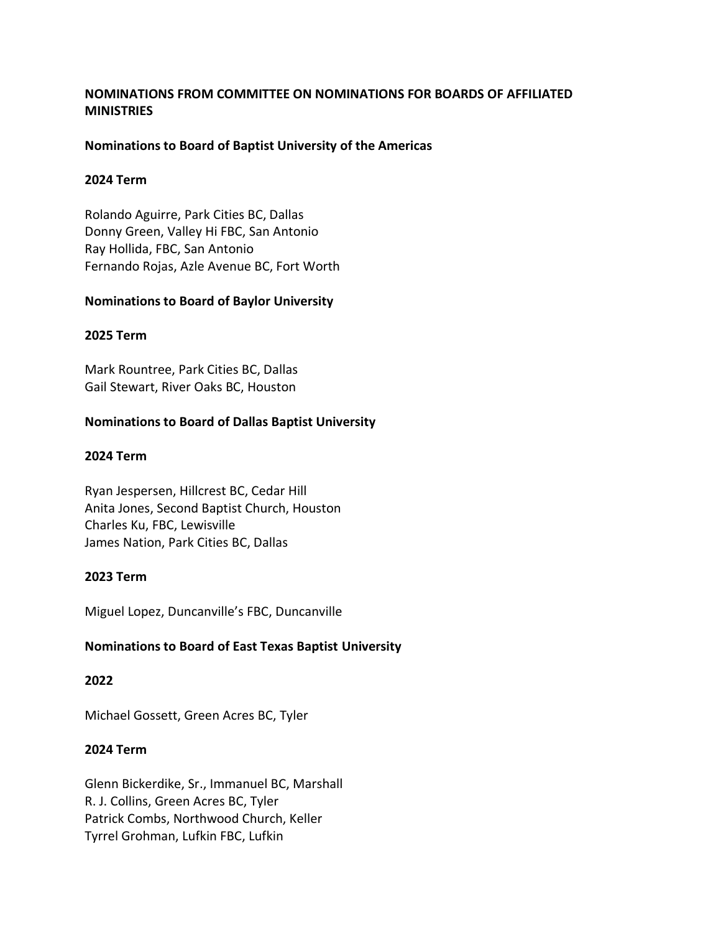# **NOMINATIONS FROM COMMITTEE ON NOMINATIONS FOR BOARDS OF AFFILIATED MINISTRIES**

# **Nominations to Board of Baptist University of the Americas**

## **2024 Term**

Rolando Aguirre, Park Cities BC, Dallas Donny Green, Valley Hi FBC, San Antonio Ray Hollida, FBC, San Antonio Fernando Rojas, Azle Avenue BC, Fort Worth

# **Nominations to Board of Baylor University**

### **2025 Term**

Mark Rountree, Park Cities BC, Dallas Gail Stewart, River Oaks BC, Houston

# **Nominations to Board of Dallas Baptist University**

# **2024 Term**

Ryan Jespersen, Hillcrest BC, Cedar Hill Anita Jones, Second Baptist Church, Houston Charles Ku, FBC, Lewisville James Nation, Park Cities BC, Dallas

# **2023 Term**

Miguel Lopez, Duncanville's FBC, Duncanville

# **Nominations to Board of East Texas Baptist University**

# **2022**

Michael Gossett, Green Acres BC, Tyler

# **2024 Term**

Glenn Bickerdike, Sr., Immanuel BC, Marshall R. J. Collins, Green Acres BC, Tyler Patrick Combs, Northwood Church, Keller Tyrrel Grohman, Lufkin FBC, Lufkin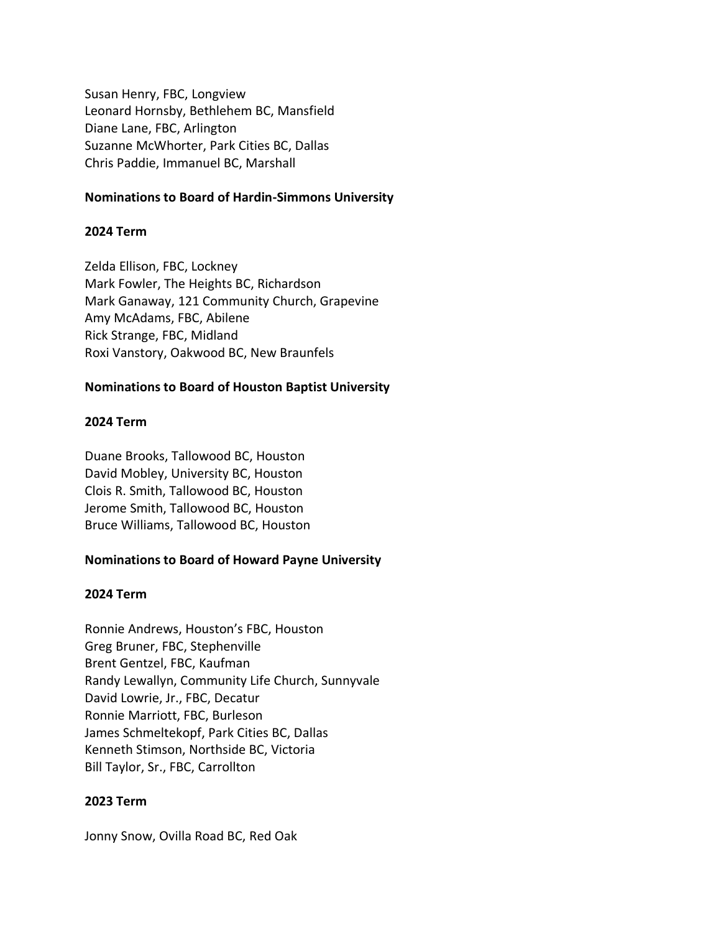Susan Henry, FBC, Longview Leonard Hornsby, Bethlehem BC, Mansfield Diane Lane, FBC, Arlington Suzanne McWhorter, Park Cities BC, Dallas Chris Paddie, Immanuel BC, Marshall

# **Nominations to Board of Hardin-Simmons University**

### **2024 Term**

Zelda Ellison, FBC, Lockney Mark Fowler, The Heights BC, Richardson Mark Ganaway, 121 Community Church, Grapevine Amy McAdams, FBC, Abilene Rick Strange, FBC, Midland Roxi Vanstory, Oakwood BC, New Braunfels

### **Nominations to Board of Houston Baptist University**

#### **2024 Term**

Duane Brooks, Tallowood BC, Houston David Mobley, University BC, Houston Clois R. Smith, Tallowood BC, Houston Jerome Smith, Tallowood BC, Houston Bruce Williams, Tallowood BC, Houston

# **Nominations to Board of Howard Payne University**

#### **2024 Term**

Ronnie Andrews, Houston's FBC, Houston Greg Bruner, FBC, Stephenville Brent Gentzel, FBC, Kaufman Randy Lewallyn, Community Life Church, Sunnyvale David Lowrie, Jr., FBC, Decatur Ronnie Marriott, FBC, Burleson James Schmeltekopf, Park Cities BC, Dallas Kenneth Stimson, Northside BC, Victoria Bill Taylor, Sr., FBC, Carrollton

#### **2023 Term**

Jonny Snow, Ovilla Road BC, Red Oak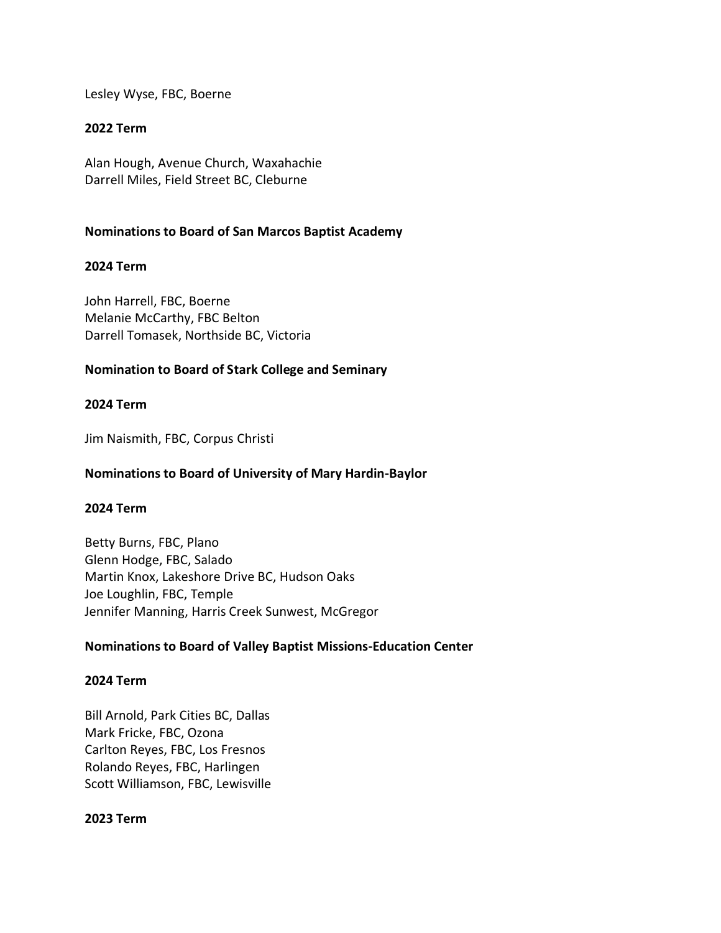Lesley Wyse, FBC, Boerne

# **2022 Term**

Alan Hough, Avenue Church, Waxahachie Darrell Miles, Field Street BC, Cleburne

## **Nominations to Board of San Marcos Baptist Academy**

### **2024 Term**

John Harrell, FBC, Boerne Melanie McCarthy, FBC Belton Darrell Tomasek, Northside BC, Victoria

# **Nomination to Board of Stark College and Seminary**

### **2024 Term**

Jim Naismith, FBC, Corpus Christi

## **Nominations to Board of University of Mary Hardin-Baylor**

#### **2024 Term**

Betty Burns, FBC, Plano Glenn Hodge, FBC, Salado Martin Knox, Lakeshore Drive BC, Hudson Oaks Joe Loughlin, FBC, Temple Jennifer Manning, Harris Creek Sunwest, McGregor

#### **Nominations to Board of Valley Baptist Missions-Education Center**

#### **2024 Term**

Bill Arnold, Park Cities BC, Dallas Mark Fricke, FBC, Ozona Carlton Reyes, FBC, Los Fresnos Rolando Reyes, FBC, Harlingen Scott Williamson, FBC, Lewisville

#### **2023 Term**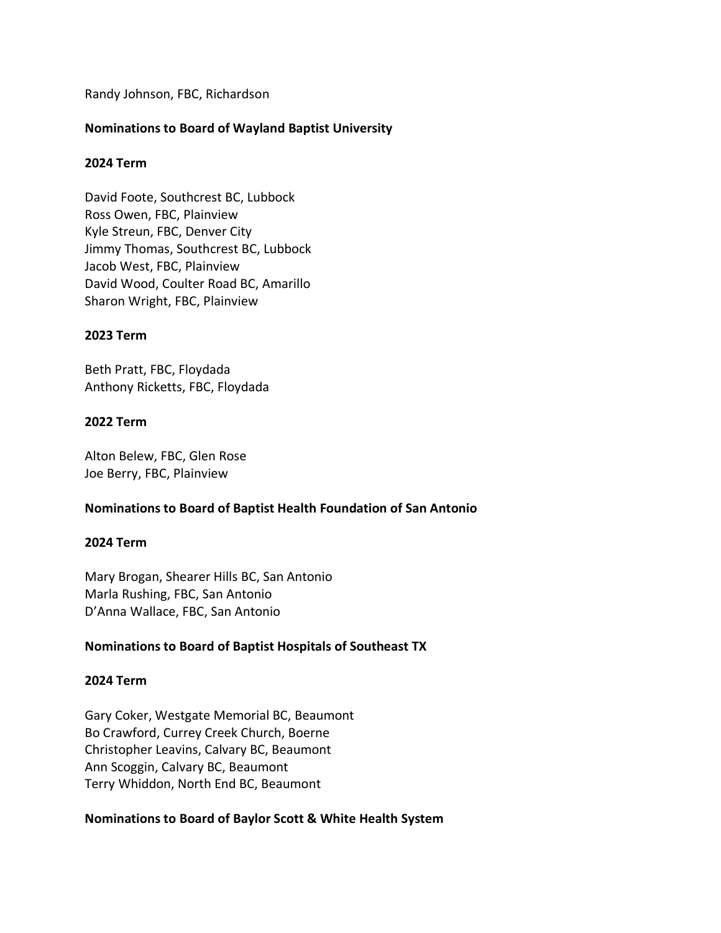Randy Johnson, FBC, Richardson

## **Nominations to Board of Wayland Baptist University**

### **2024 Term**

David Foote, Southcrest BC, Lubbock Ross Owen, FBC, Plainview Kyle Streun, FBC, Denver City Jimmy Thomas, Southcrest BC, Lubbock Jacob West, FBC, Plainview David Wood, Coulter Road BC, Amarillo Sharon Wright, FBC, Plainview

#### **2023 Term**

Beth Pratt, FBC, Floydada Anthony Ricketts, FBC, Floydada

### **2022 Term**

Alton Belew, FBC, Glen Rose Joe Berry, FBC, Plainview

# **Nominations to Board of Baptist Health Foundation of San Antonio**

#### **2024 Term**

Mary Brogan, Shearer Hills BC, San Antonio Marla Rushing, FBC, San Antonio D'Anna Wallace, FBC, San Antonio

# **Nominations to Board of Baptist Hospitals of Southeast TX**

#### **2024 Term**

Gary Coker, Westgate Memorial BC, Beaumont Bo Crawford, Currey Creek Church, Boerne Christopher Leavins, Calvary BC, Beaumont Ann Scoggin, Calvary BC, Beaumont Terry Whiddon, North End BC, Beaumont

#### **Nominations to Board of Baylor Scott & White Health System**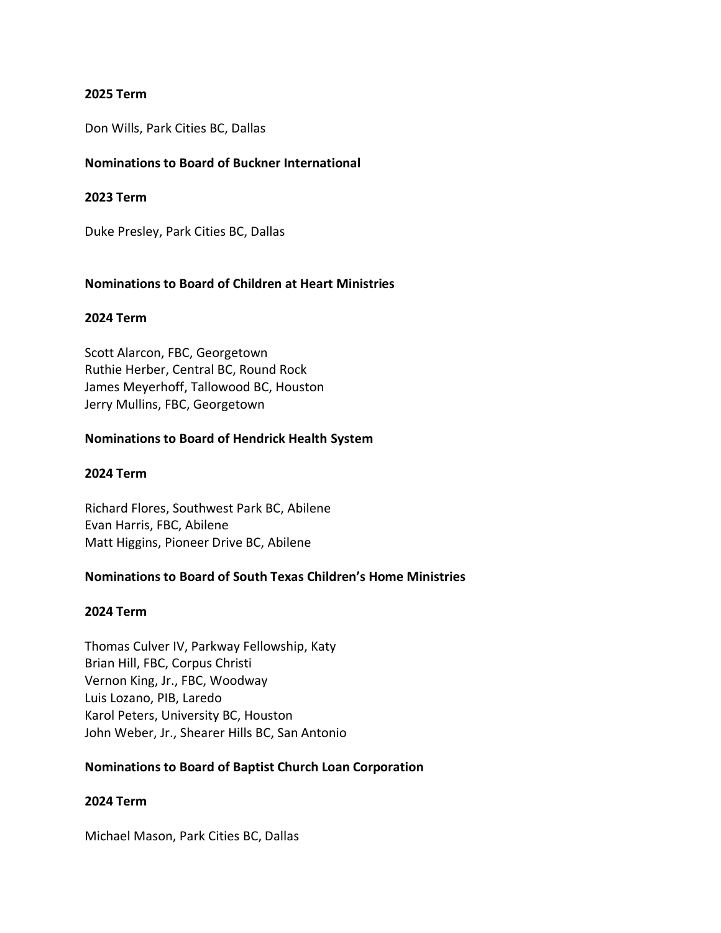### **2025 Term**

Don Wills, Park Cities BC, Dallas

## **Nominations to Board of Buckner International**

### **2023 Term**

Duke Presley, Park Cities BC, Dallas

### **Nominations to Board of Children at Heart Ministries**

#### **2024 Term**

Scott Alarcon, FBC, Georgetown Ruthie Herber, Central BC, Round Rock James Meyerhoff, Tallowood BC, Houston Jerry Mullins, FBC, Georgetown

### **Nominations to Board of Hendrick Health System**

## **2024 Term**

Richard Flores, Southwest Park BC, Abilene Evan Harris, FBC, Abilene Matt Higgins, Pioneer Drive BC, Abilene

# **Nominations to Board of South Texas Children's Home Ministries**

# **2024 Term**

Thomas Culver IV, Parkway Fellowship, Katy Brian Hill, FBC, Corpus Christi Vernon King, Jr., FBC, Woodway Luis Lozano, PIB, Laredo Karol Peters, University BC, Houston John Weber, Jr., Shearer Hills BC, San Antonio

#### **Nominations to Board of Baptist Church Loan Corporation**

#### **2024 Term**

Michael Mason, Park Cities BC, Dallas